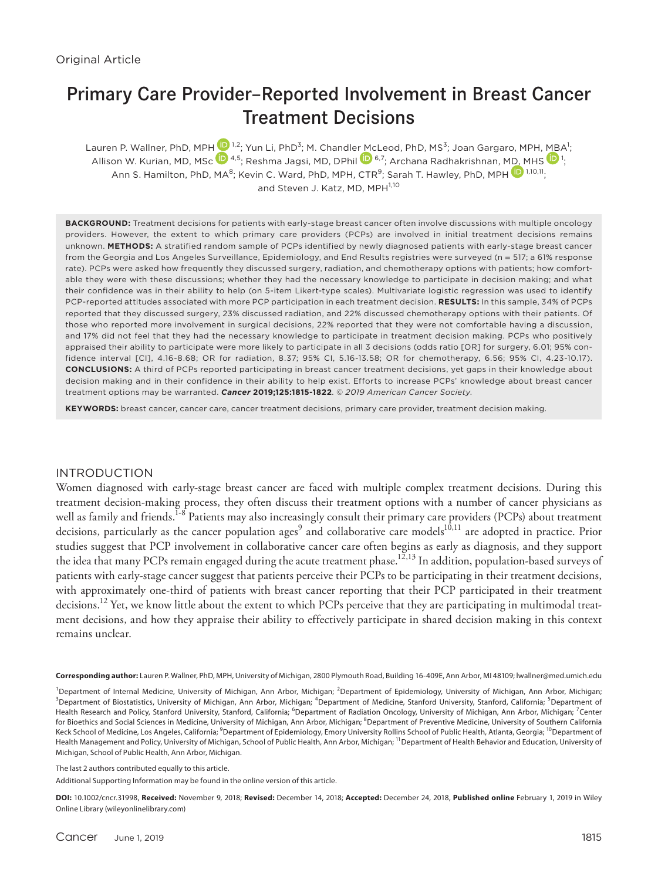# Primary Care Provider–Reported Involvement in Breast Cancer Treatment Decisions

Lauren P. Wallner, PhD, MP[H](https://orcid.org/0000-0002-6175-9470)  $\bigcup$  1,2; Yun Li, PhD<sup>3</sup>; M. Chandle[r Mc](https://orcid.org/0000-0001-6562-1228)Leod, PhD, MS<sup>3</sup>; Joan Gargaro, MPH, [MBA](https://orcid.org/0000-0001-7689-6390)<sup>1</sup>; Allison W. Kurian, [MD, M](https://orcid.org/0000-0001-5756-645X)Sc  $\mathbf{D}^{4,5}$ ; Reshma Jagsi, MD, DPhil  $\mathbf{D}^{6,7}$ ; Archana Radhakrishnan, MD, MHS  $\mathbf{D}^{1}$ ; Ann S. Hamilton, PhD, MA<sup>8</sup>; Kevin C. Ward, PhD, MPH, CTR<sup>9</sup>; Sarah T. Hawley, PhD, MPH <sup>1,10,11</sup>; and Steven J. Katz, MD, MPH<sup>1,10</sup>

**BACKGROUND:** Treatment decisions for patients with early-stage breast cancer often involve discussions with multiple oncology providers. However, the extent to which primary care providers (PCPs) are involved in initial treatment decisions remains unknown. **METHODS:** A stratified random sample of PCPs identified by newly diagnosed patients with early-stage breast cancer from the Georgia and Los Angeles Surveillance, Epidemiology, and End Results registries were surveyed (n = 517; a 61% response rate). PCPs were asked how frequently they discussed surgery, radiation, and chemotherapy options with patients; how comfortable they were with these discussions; whether they had the necessary knowledge to participate in decision making; and what their confidence was in their ability to help (on 5-item Likert-type scales). Multivariate logistic regression was used to identify PCP-reported attitudes associated with more PCP participation in each treatment decision. **RESULTS:** In this sample, 34% of PCPs reported that they discussed surgery, 23% discussed radiation, and 22% discussed chemotherapy options with their patients. Of those who reported more involvement in surgical decisions, 22% reported that they were not comfortable having a discussion, and 17% did not feel that they had the necessary knowledge to participate in treatment decision making. PCPs who positively appraised their ability to participate were more likely to participate in all 3 decisions (odds ratio [OR] for surgery, 6.01; 95% confidence interval [CI], 4.16-8.68; OR for radiation, 8.37; 95% CI, 5.16-13.58; OR for chemotherapy, 6.56; 95% CI, 4.23-10.17). **CONCLUSIONS:** A third of PCPs reported participating in breast cancer treatment decisions, yet gaps in their knowledge about decision making and in their confidence in their ability to help exist. Efforts to increase PCPs' knowledge about breast cancer treatment options may be warranted. *Cancer* **2019;125:1815-1822**. *© 2019 American Cancer Society*.

**KEYWORDS:** breast cancer, cancer care, cancer treatment decisions, primary care provider, treatment decision making.

## INTRODUCTION

Women diagnosed with early-stage breast cancer are faced with multiple complex treatment decisions. During this treatment decision-making process, they often discuss their treatment options with a number of cancer physicians as well as family and friends.<sup>1-8</sup> Patients may also increasingly consult their primary care providers (PCPs) about treatment decisions, particularly as the cancer population ages $^9$  and collaborative care models $^{1\bar 0,11}$  are adopted in practice. Prior studies suggest that PCP involvement in collaborative cancer care often begins as early as diagnosis, and they support the idea that many PCPs remain engaged during the acute treatment phase.<sup>12,13</sup> In addition, population-based surveys of patients with early-stage cancer suggest that patients perceive their PCPs to be participating in their treatment decisions, with approximately one-third of patients with breast cancer reporting that their PCP participated in their treatment decisions.<sup>12</sup> Yet, we know little about the extent to which PCPs perceive that they are participating in multimodal treatment decisions, and how they appraise their ability to effectively participate in shared decision making in this context remains unclear.

**Corresponding author:** Lauren P. Wallner, PhD, MPH, University of Michigan, 2800 Plymouth Road, Building 16-409E, Ann Arbor, MI 48109; [lwallner@med.umich.edu](mailto:lwallner@med.umich.edu)

<sup>1</sup> Department of Internal Medicine, University of Michigan, Ann Arbor, Michigan; <sup>2</sup> Department of Epidemiology, University of Michigan, Ann Arbor, Michigan;<br><sup>3</sup> Department of Piectatistics, University of Michigan, Ann Ar Department of Biostatistics, University of Michigan, Ann Arbor, Michigan; <sup>4</sup>Department of Medicine, Stanford University, Stanford, California; <sup>5</sup>Department of Health Research and Policy, Stanford University, Stanford, California; <sup>6</sup>Department of Radiation Oncology, University of Michigan, Ann Arbor, Michigan; <sup>7</sup>Center for Bioethics and Social Sciences in Medicine, University of Michigan, Ann Arbor, Michigan; <sup>8</sup>Department of Preventive Medicine, University of Southern California Keck School of Medicine, Los Angeles, California; <sup>9</sup>Department of Epidemiology, Emory University Rollins School of Public Health, Atlanta, Georgia; <sup>10</sup>Department of Health Management and Policy, University of Michigan, School of Public Health, Ann Arbor, Michigan; <sup>11</sup> Department of Health Behavior and Education, University of Michigan, School of Public Health, Ann Arbor, Michigan.

The last 2 authors contributed equally to this article.

Additional Supporting Information may be found in the online version of this article.

**DOI:** 10.1002/cncr.31998, **Received:** November 9, 2018; **Revised:** December 14, 2018; **Accepted:** December 24, 2018, **Published online** February 1, 2019 in Wiley Online Library (wileyonlinelibrary.com)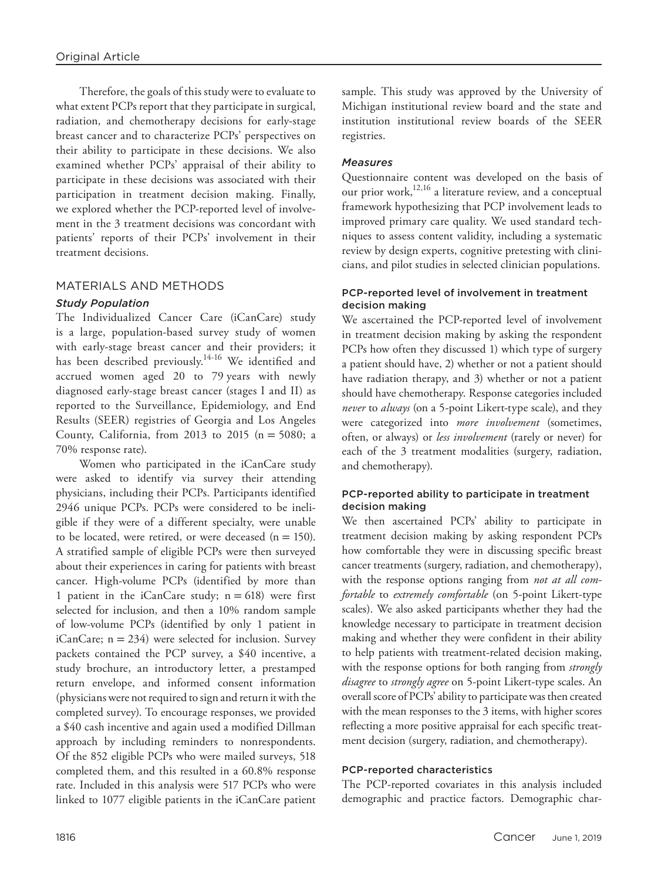Therefore, the goals of this study were to evaluate to what extent PCPs report that they participate in surgical, radiation, and chemotherapy decisions for early-stage breast cancer and to characterize PCPs' perspectives on their ability to participate in these decisions. We also examined whether PCPs' appraisal of their ability to participate in these decisions was associated with their participation in treatment decision making. Finally, we explored whether the PCP-reported level of involvement in the 3 treatment decisions was concordant with patients' reports of their PCPs' involvement in their treatment decisions.

## MATERIALS AND METHODS

## *Study Population*

The Individualized Cancer Care (iCanCare) study is a large, population-based survey study of women with early-stage breast cancer and their providers; it has been described previously.<sup>14-16</sup> We identified and accrued women aged 20 to 79 years with newly diagnosed early-stage breast cancer (stages I and II) as reported to the Surveillance, Epidemiology, and End Results (SEER) registries of Georgia and Los Angeles County, California, from 2013 to 2015  $(n = 5080; a$ 70% response rate).

Women who participated in the iCanCare study were asked to identify via survey their attending physicians, including their PCPs. Participants identified 2946 unique PCPs. PCPs were considered to be ineligible if they were of a different specialty, were unable to be located, were retired, or were deceased  $(n = 150)$ . A stratified sample of eligible PCPs were then surveyed about their experiences in caring for patients with breast cancer. High-volume PCPs (identified by more than 1 patient in the iCanCare study;  $n = 618$ ) were first selected for inclusion, and then a 10% random sample of low-volume PCPs (identified by only 1 patient in  $iCanCare; n = 234)$  were selected for inclusion. Survey packets contained the PCP survey, a \$40 incentive, a study brochure, an introductory letter, a prestamped return envelope, and informed consent information (physicians were not required to sign and return it with the completed survey). To encourage responses, we provided a \$40 cash incentive and again used a modified Dillman approach by including reminders to nonrespondents. Of the 852 eligible PCPs who were mailed surveys, 518 completed them, and this resulted in a 60.8% response rate. Included in this analysis were 517 PCPs who were linked to 1077 eligible patients in the iCanCare patient sample. This study was approved by the University of Michigan institutional review board and the state and institution institutional review boards of the SEER registries.

## *Measures*

Questionnaire content was developed on the basis of our prior work, $12,16$  a literature review, and a conceptual framework hypothesizing that PCP involvement leads to improved primary care quality. We used standard techniques to assess content validity, including a systematic review by design experts, cognitive pretesting with clinicians, and pilot studies in selected clinician populations.

## PCP-reported level of involvement in treatment decision making

We ascertained the PCP-reported level of involvement in treatment decision making by asking the respondent PCPs how often they discussed 1) which type of surgery a patient should have, 2) whether or not a patient should have radiation therapy, and 3) whether or not a patient should have chemotherapy. Response categories included *never* to *always* (on a 5-point Likert-type scale), and they were categorized into *more involvement* (sometimes, often, or always) or *less involvement* (rarely or never) for each of the 3 treatment modalities (surgery, radiation, and chemotherapy).

## PCP-reported ability to participate in treatment decision making

We then ascertained PCPs' ability to participate in treatment decision making by asking respondent PCPs how comfortable they were in discussing specific breast cancer treatments (surgery, radiation, and chemotherapy), with the response options ranging from *not at all comfortable* to *extremely comfortable* (on 5-point Likert-type scales). We also asked participants whether they had the knowledge necessary to participate in treatment decision making and whether they were confident in their ability to help patients with treatment-related decision making, with the response options for both ranging from *strongly disagree* to *strongly agree* on 5-point Likert-type scales. An overall score of PCPs' ability to participate was then created with the mean responses to the 3 items, with higher scores reflecting a more positive appraisal for each specific treatment decision (surgery, radiation, and chemotherapy).

## PCP-reported characteristics

The PCP-reported covariates in this analysis included demographic and practice factors. Demographic char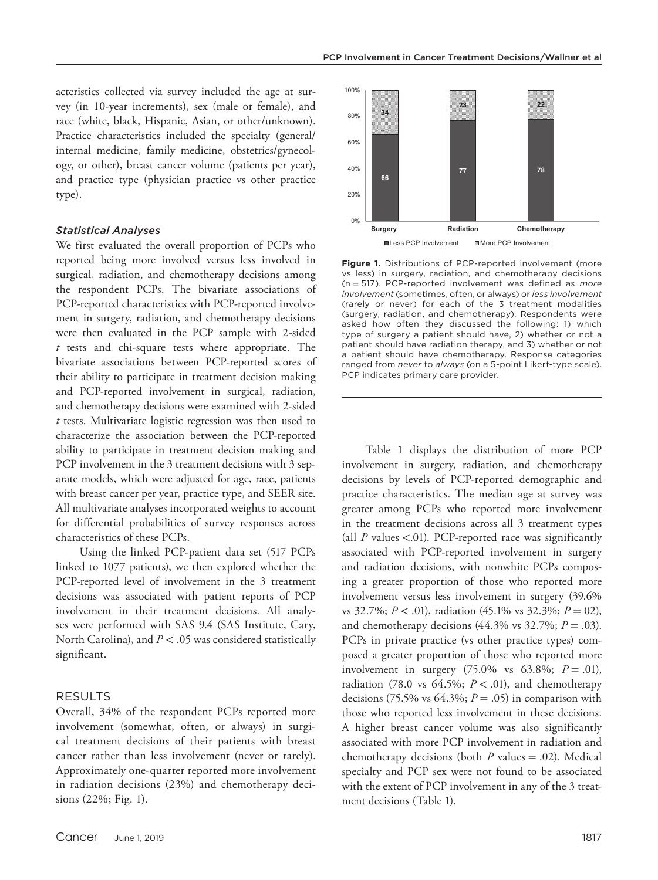acteristics collected via survey included the age at survey (in 10-year increments), sex (male or female), and race (white, black, Hispanic, Asian, or other/unknown). Practice characteristics included the specialty (general/ internal medicine, family medicine, obstetrics/gynecology, or other), breast cancer volume (patients per year), and practice type (physician practice vs other practice type).

#### *Statistical Analyses*

We first evaluated the overall proportion of PCPs who reported being more involved versus less involved in surgical, radiation, and chemotherapy decisions among the respondent PCPs. The bivariate associations of PCP-reported characteristics with PCP-reported involvement in surgery, radiation, and chemotherapy decisions were then evaluated in the PCP sample with 2-sided *t* tests and chi-square tests where appropriate. The bivariate associations between PCP-reported scores of their ability to participate in treatment decision making and PCP-reported involvement in surgical, radiation, and chemotherapy decisions were examined with 2-sided *t* tests. Multivariate logistic regression was then used to characterize the association between the PCP-reported ability to participate in treatment decision making and PCP involvement in the 3 treatment decisions with 3 separate models, which were adjusted for age, race, patients with breast cancer per year, practice type, and SEER site. All multivariate analyses incorporated weights to account for differential probabilities of survey responses across characteristics of these PCPs.

Using the linked PCP-patient data set (517 PCPs linked to 1077 patients), we then explored whether the PCP-reported level of involvement in the 3 treatment decisions was associated with patient reports of PCP involvement in their treatment decisions. All analyses were performed with SAS 9.4 (SAS Institute, Cary, North Carolina), and *P* < .05 was considered statistically significant.

## RESULTS

Overall, 34% of the respondent PCPs reported more involvement (somewhat, often, or always) in surgical treatment decisions of their patients with breast cancer rather than less involvement (never or rarely). Approximately one-quarter reported more involvement in radiation decisions (23%) and chemotherapy decisions (22%; Fig. 1).



**Figure 1.** Distributions of PCP-reported involvement (more vs less) in surgery, radiation, and chemotherapy decisions (n = 517). PCP-reported involvement was defined as *more involvement* (sometimes, often, or always) or *less involvement* (rarely or never) for each of the 3 treatment modalities (surgery, radiation, and chemotherapy). Respondents were asked how often they discussed the following: 1) which type of surgery a patient should have, 2) whether or not a patient should have radiation therapy, and 3) whether or not a patient should have chemotherapy. Response categories ranged from *never* to *always* (on a 5-point Likert-type scale). PCP indicates primary care provider.

Table 1 displays the distribution of more PCP involvement in surgery, radiation, and chemotherapy decisions by levels of PCP-reported demographic and practice characteristics. The median age at survey was greater among PCPs who reported more involvement in the treatment decisions across all 3 treatment types (all *P* values <.01). PCP-reported race was significantly associated with PCP-reported involvement in surgery and radiation decisions, with nonwhite PCPs composing a greater proportion of those who reported more involvement versus less involvement in surgery (39.6% vs 32.7%; *P* < .01), radiation (45.1% vs 32.3%; *P* = 02), and chemotherapy decisions (44.3% vs 32.7%; *P* = .03). PCPs in private practice (vs other practice types) composed a greater proportion of those who reported more involvement in surgery  $(75.0\% \text{ vs } 63.8\%; P = .01)$ , radiation (78.0 vs  $64.5\%$ ;  $P < .01$ ), and chemotherapy decisions (75.5% vs 64.3%;  $P = .05$ ) in comparison with those who reported less involvement in these decisions. A higher breast cancer volume was also significantly associated with more PCP involvement in radiation and chemotherapy decisions (both *P* values = .02). Medical specialty and PCP sex were not found to be associated with the extent of PCP involvement in any of the 3 treatment decisions (Table 1).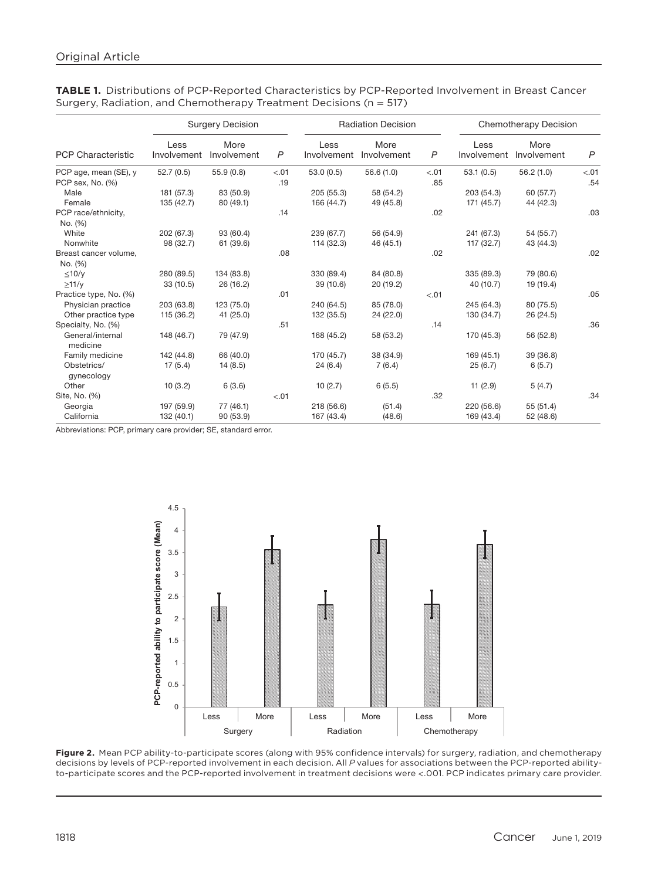| <b>PCP Characteristic</b>    | <b>Surgery Decision</b> |                     |              | <b>Radiation Decision</b> |                     |                | Chemotherapy Decision |                     |                |
|------------------------------|-------------------------|---------------------|--------------|---------------------------|---------------------|----------------|-----------------------|---------------------|----------------|
|                              | Less<br>Involvement     | More<br>Involvement | $\mathsf{P}$ | Less<br>Involvement       | More<br>Involvement | $\overline{P}$ | Less<br>Involvement   | More<br>Involvement | $\overline{P}$ |
| PCP age, mean (SE), y        | 52.7(0.5)               | 55.9(0.8)           | < .01        | 53.0(0.5)                 | 56.6(1.0)           | < .01          | 53.1(0.5)             | 56.2(1.0)           | < .01          |
| PCP sex, No. (%)             |                         |                     | .19          |                           |                     | .85            |                       |                     | .54            |
| Male                         | 181 (57.3)              | 83 (50.9)           |              | 205 (55.3)                | 58 (54.2)           |                | 203 (54.3)            | 60 (57.7)           |                |
| Female                       | 135 (42.7)              | 80 (49.1)           |              | 166 (44.7)                | 49 (45.8)           |                | 171 (45.7)            | 44 (42.3)           |                |
| PCP race/ethnicity,          |                         |                     | .14          |                           |                     | .02            |                       |                     | .03            |
| No. (%)                      |                         |                     |              |                           |                     |                |                       |                     |                |
| White                        | 202 (67.3)              | 93 (60.4)           |              | 239 (67.7)                | 56 (54.9)           |                | 241 (67.3)            | 54 (55.7)           |                |
| Nonwhite                     | 98 (32.7)               | 61 (39.6)           |              | 114 (32.3)                | 46 (45.1)           |                | 117 (32.7)            | 43 (44.3)           |                |
| Breast cancer volume,        |                         |                     | .08          |                           |                     | .02            |                       |                     | .02            |
| No. (%)                      |                         |                     |              |                           |                     |                |                       |                     |                |
| $\leq 10$ /y                 | 280 (89.5)              | 134 (83.8)          |              | 330 (89.4)                | 84 (80.8)           |                | 335 (89.3)            | 79 (80.6)           |                |
| $\geq$ 11/y                  | 33 (10.5)               | 26 (16.2)           |              | 39 (10.6)                 | 20 (19.2)           |                | 40 (10.7)             | 19 (19.4)           |                |
| Practice type, No. (%)       |                         |                     | .01          |                           |                     | < .01          |                       |                     | .05            |
| Physician practice           | 203 (63.8)              | 123 (75.0)          |              | 240 (64.5)                | 85 (78.0)           |                | 245 (64.3)            | 80 (75.5)           |                |
| Other practice type          | 115 (36.2)              | 41 (25.0)           |              | 132 (35.5)                | 24 (22.0)           |                | 130 (34.7)            | 26 (24.5)           |                |
| Specialty, No. (%)           |                         |                     | .51          |                           |                     | .14            |                       |                     | .36            |
| General/internal<br>medicine | 148 (46.7)              | 79 (47.9)           |              | 168 (45.2)                | 58 (53.2)           |                | 170 (45.3)            | 56 (52.8)           |                |
| Family medicine              | 142 (44.8)              | 66 (40.0)           |              | 170 (45.7)                | 38 (34.9)           |                | 169 (45.1)            | 39 (36.8)           |                |
| Obstetrics/<br>gynecology    | 17(5.4)                 | 14(8.5)             |              | 24(6.4)                   | 7(6.4)              |                | 25(6.7)               | 6(5.7)              |                |
| Other                        | 10(3.2)                 | 6(3.6)              |              | 10(2.7)                   | 6(5.5)              |                | 11(2.9)               | 5(4.7)              |                |
| Site, No. (%)                |                         |                     | $-.01$       |                           |                     | .32            |                       |                     | .34            |
| Georgia                      | 197 (59.9)              | 77 (46.1)           |              | 218 (56.6)                | (51.4)              |                | 220 (56.6)            | 55 (51.4)           |                |
| California                   | 132 (40.1)              | 90 (53.9)           |              | 167 (43.4)                | (48.6)              |                | 169 (43.4)            | 52 (48.6)           |                |

**TABLE 1.** Distributions of PCP-Reported Characteristics by PCP-Reported Involvement in Breast Cancer Surgery, Radiation, and Chemotherapy Treatment Decisions (n = 517)

Abbreviations: PCP, primary care provider; SE, standard error.



**Figure 2.** Mean PCP ability-to-participate scores (along with 95% confidence intervals) for surgery, radiation, and chemotherapy decisions by levels of PCP-reported involvement in each decision. All *P* values for associations between the PCP-reported abilityto-participate scores and the PCP-reported involvement in treatment decisions were <.001. PCP indicates primary care provider.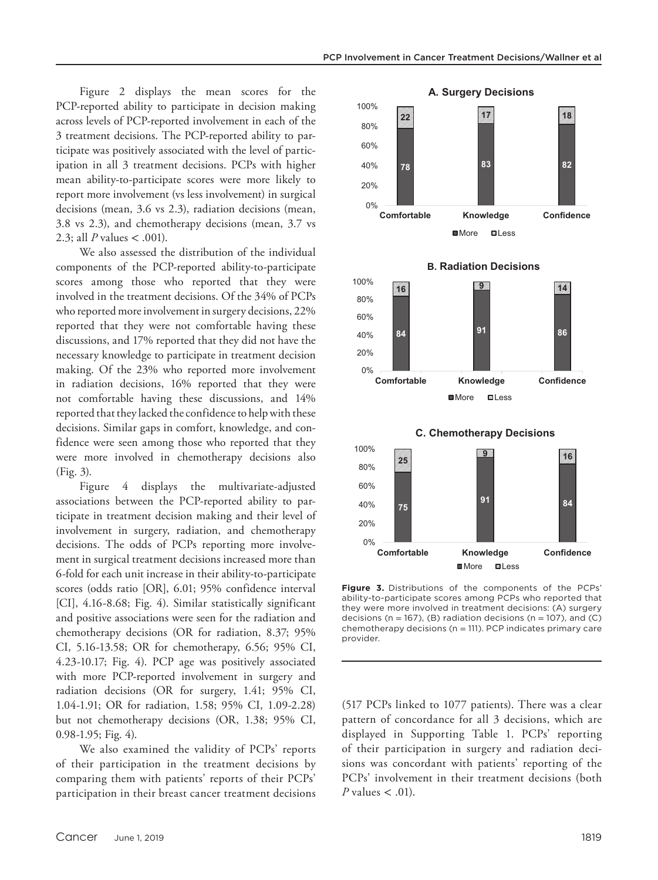Figure 2 displays the mean scores for the PCP-reported ability to participate in decision making across levels of PCP-reported involvement in each of the 3 treatment decisions. The PCP-reported ability to participate was positively associated with the level of participation in all 3 treatment decisions. PCPs with higher mean ability-to-participate scores were more likely to report more involvement (vs less involvement) in surgical decisions (mean, 3.6 vs 2.3), radiation decisions (mean, 3.8 vs 2.3), and chemotherapy decisions (mean, 3.7 vs 2.3; all *P* values < .001).

We also assessed the distribution of the individual components of the PCP-reported ability-to-participate scores among those who reported that they were involved in the treatment decisions. Of the 34% of PCPs who reported more involvement in surgery decisions, 22% reported that they were not comfortable having these discussions, and 17% reported that they did not have the necessary knowledge to participate in treatment decision making. Of the 23% who reported more involvement in radiation decisions, 16% reported that they were not comfortable having these discussions, and 14% reported that they lacked the confidence to help with these decisions. Similar gaps in comfort, knowledge, and confidence were seen among those who reported that they were more involved in chemotherapy decisions also (Fig. 3).

Figure 4 displays the multivariate-adjusted associations between the PCP-reported ability to participate in treatment decision making and their level of involvement in surgery, radiation, and chemotherapy decisions. The odds of PCPs reporting more involvement in surgical treatment decisions increased more than 6-fold for each unit increase in their ability-to-participate scores (odds ratio [OR], 6.01; 95% confidence interval [CI], 4.16-8.68; Fig. 4). Similar statistically significant and positive associations were seen for the radiation and chemotherapy decisions (OR for radiation, 8.37; 95% CI, 5.16-13.58; OR for chemotherapy, 6.56; 95% CI, 4.23-10.17; Fig. 4). PCP age was positively associated with more PCP-reported involvement in surgery and radiation decisions (OR for surgery, 1.41; 95% CI, 1.04-1.91; OR for radiation, 1.58; 95% CI, 1.09-2.28) but not chemotherapy decisions (OR, 1.38; 95% CI, 0.98-1.95; Fig. 4).

We also examined the validity of PCPs' reports of their participation in the treatment decisions by comparing them with patients' reports of their PCPs' participation in their breast cancer treatment decisions



**Figure 3.** Distributions of the components of the PCPs' ability-to-participate scores among PCPs who reported that they were more involved in treatment decisions: (A) surgery decisions ( $n = 167$ ), (B) radiation decisions ( $n = 107$ ), and (C) chemotherapy decisions ( $n = 111$ ). PCP indicates primary care provider.

(517 PCPs linked to 1077 patients). There was a clear pattern of concordance for all 3 decisions, which are displayed in Supporting Table 1. PCPs' reporting of their participation in surgery and radiation decisions was concordant with patients' reporting of the PCPs' involvement in their treatment decisions (both *P* values  $\lt$  .01).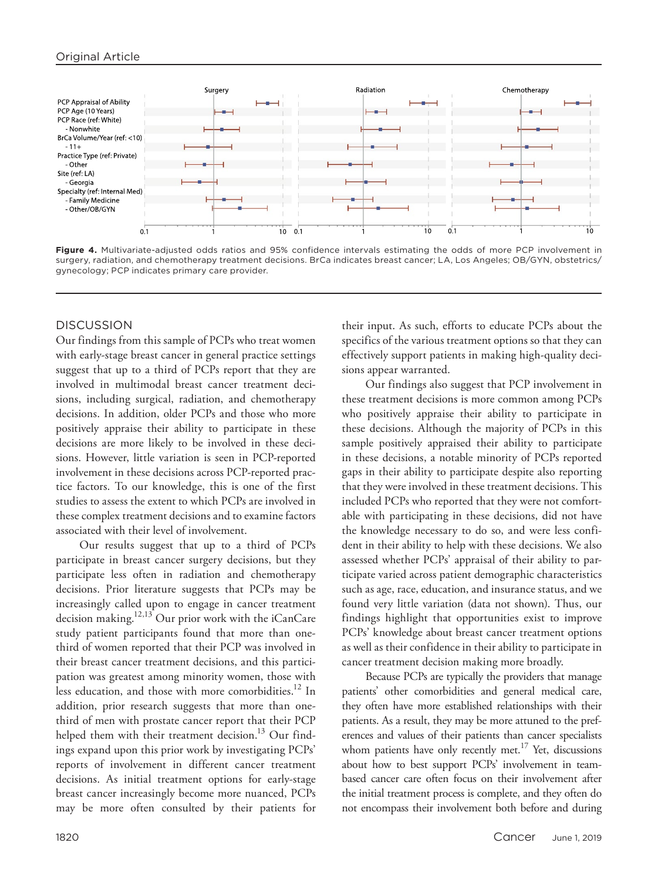# Original Article





## **DISCUSSION**

Our findings from this sample of PCPs who treat women with early-stage breast cancer in general practice settings suggest that up to a third of PCPs report that they are involved in multimodal breast cancer treatment decisions, including surgical, radiation, and chemotherapy decisions. In addition, older PCPs and those who more positively appraise their ability to participate in these decisions are more likely to be involved in these decisions. However, little variation is seen in PCP-reported involvement in these decisions across PCP-reported practice factors. To our knowledge, this is one of the first studies to assess the extent to which PCPs are involved in these complex treatment decisions and to examine factors associated with their level of involvement.

Our results suggest that up to a third of PCPs participate in breast cancer surgery decisions, but they participate less often in radiation and chemotherapy decisions. Prior literature suggests that PCPs may be increasingly called upon to engage in cancer treatment decision making.<sup>12,13</sup> Our prior work with the iCanCare study patient participants found that more than onethird of women reported that their PCP was involved in their breast cancer treatment decisions, and this participation was greatest among minority women, those with less education, and those with more comorbidities.<sup>12</sup> In addition, prior research suggests that more than onethird of men with prostate cancer report that their PCP helped them with their treatment decision.<sup>13</sup> Our findings expand upon this prior work by investigating PCPs' reports of involvement in different cancer treatment decisions. As initial treatment options for early-stage breast cancer increasingly become more nuanced, PCPs may be more often consulted by their patients for

their input. As such, efforts to educate PCPs about the specifics of the various treatment options so that they can effectively support patients in making high-quality decisions appear warranted.

Our findings also suggest that PCP involvement in these treatment decisions is more common among PCPs who positively appraise their ability to participate in these decisions. Although the majority of PCPs in this sample positively appraised their ability to participate in these decisions, a notable minority of PCPs reported gaps in their ability to participate despite also reporting that they were involved in these treatment decisions. This included PCPs who reported that they were not comfortable with participating in these decisions, did not have the knowledge necessary to do so, and were less confident in their ability to help with these decisions. We also assessed whether PCPs' appraisal of their ability to participate varied across patient demographic characteristics such as age, race, education, and insurance status, and we found very little variation (data not shown). Thus, our findings highlight that opportunities exist to improve PCPs' knowledge about breast cancer treatment options as well as their confidence in their ability to participate in cancer treatment decision making more broadly.

Because PCPs are typically the providers that manage patients' other comorbidities and general medical care, they often have more established relationships with their patients. As a result, they may be more attuned to the preferences and values of their patients than cancer specialists whom patients have only recently met. $^{17}$  Yet, discussions about how to best support PCPs' involvement in teambased cancer care often focus on their involvement after the initial treatment process is complete, and they often do not encompass their involvement both before and during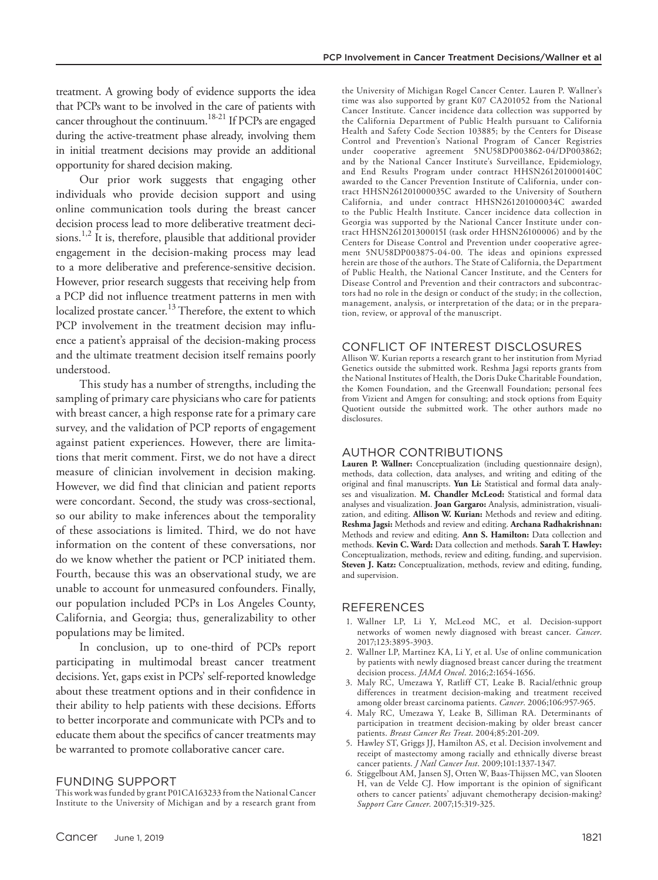treatment. A growing body of evidence supports the idea that PCPs want to be involved in the care of patients with cancer throughout the continuum.<sup>18-21</sup> If PCPs are engaged during the active-treatment phase already, involving them in initial treatment decisions may provide an additional opportunity for shared decision making.

Our prior work suggests that engaging other individuals who provide decision support and using online communication tools during the breast cancer decision process lead to more deliberative treatment decisions.<sup>1,2</sup> It is, therefore, plausible that additional provider engagement in the decision-making process may lead to a more deliberative and preference-sensitive decision. However, prior research suggests that receiving help from a PCP did not influence treatment patterns in men with localized prostate cancer.<sup>13</sup> Therefore, the extent to which PCP involvement in the treatment decision may influence a patient's appraisal of the decision-making process and the ultimate treatment decision itself remains poorly understood.

This study has a number of strengths, including the sampling of primary care physicians who care for patients with breast cancer, a high response rate for a primary care survey, and the validation of PCP reports of engagement against patient experiences. However, there are limitations that merit comment. First, we do not have a direct measure of clinician involvement in decision making. However, we did find that clinician and patient reports were concordant. Second, the study was cross-sectional, so our ability to make inferences about the temporality of these associations is limited. Third, we do not have information on the content of these conversations, nor do we know whether the patient or PCP initiated them. Fourth, because this was an observational study, we are unable to account for unmeasured confounders. Finally, our population included PCPs in Los Angeles County, California, and Georgia; thus, generalizability to other populations may be limited.

In conclusion, up to one-third of PCPs report participating in multimodal breast cancer treatment decisions. Yet, gaps exist in PCPs' self-reported knowledge about these treatment options and in their confidence in their ability to help patients with these decisions. Efforts to better incorporate and communicate with PCPs and to educate them about the specifics of cancer treatments may be warranted to promote collaborative cancer care.

## FUNDING SUPPORT

This work was funded by grant P01CA163233 from the National Cancer Institute to the University of Michigan and by a research grant from the University of Michigan Rogel Cancer Center. Lauren P. Wallner's time was also supported by grant K07 CA201052 from the National Cancer Institute. Cancer incidence data collection was supported by the California Department of Public Health pursuant to California Health and Safety Code Section 103885; by the Centers for Disease Control and Prevention's National Program of Cancer Registries under cooperative agreement 5NU58DP003862-04/DP003862; and by the National Cancer Institute's Surveillance, Epidemiology, and End Results Program under contract HHSN261201000140C awarded to the Cancer Prevention Institute of California, under contract HHSN261201000035C awarded to the University of Southern California, and under contract HHSN261201000034C awarded to the Public Health Institute. Cancer incidence data collection in Georgia was supported by the National Cancer Institute under contract HHSN261201300015I (task order HHSN26100006) and by the Centers for Disease Control and Prevention under cooperative agreement 5NU58DP003875-04-00. The ideas and opinions expressed herein are those of the authors. The State of California, the Department of Public Health, the National Cancer Institute, and the Centers for Disease Control and Prevention and their contractors and subcontractors had no role in the design or conduct of the study; in the collection, management, analysis, or interpretation of the data; or in the preparation, review, or approval of the manuscript.

#### CONFLICT OF INTEREST DISCLOSURES

Allison W. Kurian reports a research grant to her institution from Myriad Genetics outside the submitted work. Reshma Jagsi reports grants from the National Institutes of Health, the Doris Duke Charitable Foundation, the Komen Foundation, and the Greenwall Foundation; personal fees from Vizient and Amgen for consulting; and stock options from Equity Quotient outside the submitted work. The other authors made no disclosures.

## AUTHOR CONTRIBUTIONS

**Lauren P. Wallner:** Conceptualization (including questionnaire design), methods, data collection, data analyses, and writing and editing of the original and final manuscripts. **Yun Li:** Statistical and formal data analyses and visualization. **M. Chandler McLeod:** Statistical and formal data analyses and visualization. **Joan Gargaro:** Analysis, administration, visualization, and editing. **Allison W. Kurian:** Methods and review and editing. **Reshma Jagsi:** Methods and review and editing. **Archana Radhakrishnan:** Methods and review and editing. **Ann S. Hamilton:** Data collection and methods. **Kevin C. Ward:** Data collection and methods. **Sarah T. Hawley:** Conceptualization, methods, review and editing, funding, and supervision. **Steven J. Katz:** Conceptualization, methods, review and editing, funding, and supervision.

#### REFERENCES

- 1. Wallner LP, Li Y, McLeod MC, et al. Decision-support networks of women newly diagnosed with breast cancer. *Cancer*. 2017;123:3895-3903.
- 2. Wallner LP, Martinez KA, Li Y, et al. Use of online communication by patients with newly diagnosed breast cancer during the treatment decision process. *JAMA Oncol*. 2016;2:1654-1656.
- 3. Maly RC, Umezawa Y, Ratliff CT, Leake B. Racial/ethnic group differences in treatment decision-making and treatment received among older breast carcinoma patients. *Cancer*. 2006;106:957-965.
- 4. Maly RC, Umezawa Y, Leake B, Silliman RA. Determinants of participation in treatment decision-making by older breast cancer patients. *Breast Cancer Res Treat*. 2004;85:201-209.
- 5. Hawley ST, Griggs JJ, Hamilton AS, et al. Decision involvement and receipt of mastectomy among racially and ethnically diverse breast cancer patients. *J Natl Cancer Inst*. 2009;101:1337-1347.
- 6. Stiggelbout AM, Jansen SJ, Otten W, Baas-Thijssen MC, van Slooten H, van de Velde CJ. How important is the opinion of significant others to cancer patients' adjuvant chemotherapy decision-making? *Support Care Cancer*. 2007;15:319-325.